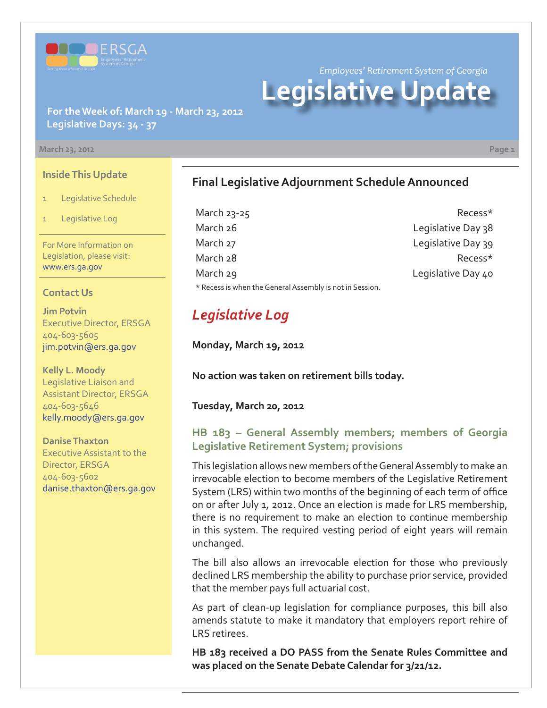

*Employees' Retirement System of Georgia* **Legislative Update**

## **For the Week of: March 19 - March 23, 2012 Legislative Days: 34 - 37**

#### **March 23, 2012 Page 1**

**Inside This Update**

- 1 Legislative Schedule
- Legislative Log

For More Information on Legislation, please visit: www.ers.ga.gov

#### **Contact Us**

**Jim Potvin** Executive Director, ERSGA 404-603-5605 jim.potvin@ers.ga.gov

**Kelly L. Moody** Legislative Liaison and Assistant Director, ERSGA 404-603-5646 kelly.moody@ers.ga.gov

**Danise Thaxton** Executive Assistant to the Director, ERSGA 404-603-5602 danise.thaxton@ers.ga.gov

## **Final Legislative Adjournment Schedule Announced**

| March 23-25                                              | Recess*            |
|----------------------------------------------------------|--------------------|
| March 26                                                 | Legislative Day 38 |
| March 27                                                 | Legislative Day 39 |
| March 28                                                 | Recess*            |
| March 29                                                 | Legislative Day 40 |
| * Recess is when the General Assembly is not in Session. |                    |

# *Legislative Log*

**Monday, March 19, 2012**

**No action was taken on retirement bills today.** 

**Tuesday, March 20, 2012**

## **[HB 183 – General Assembly members; members of Georgia](http://www.legis.ga.gov/legislation/en-US/Display/20112012/HB/183) Legislative Retirement System; provisions**

This legislation allows new members of the General Assembly to make an irrevocable election to become members of the Legislative Retirement System (LRS) within two months of the beginning of each term of office on or after July 1, 2012. Once an election is made for LRS membership, there is no requirement to make an election to continue membership in this system. The required vesting period of eight years will remain unchanged.

The bill also allows an irrevocable election for those who previously declined LRS membership the ability to purchase prior service, provided that the member pays full actuarial cost.

As part of clean-up legislation for compliance purposes, this bill also amends statute to make it mandatory that employers report rehire of LRS retirees.

**HB 183 received a DO PASS from the Senate Rules Committee and was placed on the Senate Debate Calendar for 3/21/12.**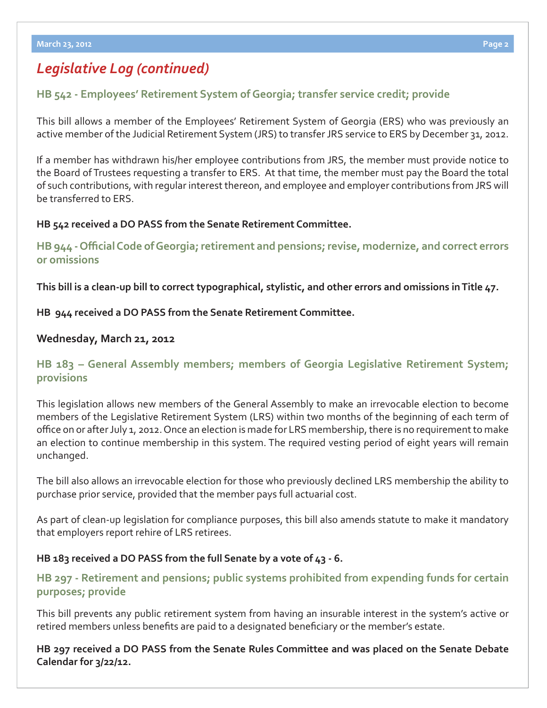## *Legislative Log (continued)*

## **[HB 542 - Employees' Retirement System of Georgia; transfer service credit; provide](http://www.legis.ga.gov/legislation/en-US/Display/20112012/HB/542)**

This bill allows a member of the Employees' Retirement System of Georgia (ERS) who was previously an active member of the Judicial Retirement System (JRS) to transfer JRS service to ERS by December 31, 2012.

If a member has withdrawn his/her employee contributions from JRS, the member must provide notice to the Board of Trustees requesting a transfer to ERS. At that time, the member must pay the Board the total of such contributions, with regular interest thereon, and employee and employer contributions from JRS will be transferred to ERS.

#### **HB 542 received a DO PASS from the Senate Retirement Committee.**

**HB 944 - Offi [cial Code of Georgia; retirement and pensions; revise, modernize, and correct errors](http://www.legis.ga.gov/legislation/en-US/Display/20112012/HB/944)  or omissions**

**This bill is a clean-up bill to correct typographical, stylistic, and other errors and omissions in Title 47.**

**HB 944 received a DO PASS from the Senate Retirement Committee.**

## **Wednesday, March 21, 2012**

## **[HB 183 – General Assembly members; members of Georgia Legislative Retirement System;](http://www.legis.ga.gov/legislation/en-US/Display/20112012/HB/183)  provisions**

This legislation allows new members of the General Assembly to make an irrevocable election to become members of the Legislative Retirement System (LRS) within two months of the beginning of each term of office on or after July 1, 2012. Once an election is made for LRS membership, there is no requirement to make an election to continue membership in this system. The required vesting period of eight years will remain unchanged.

The bill also allows an irrevocable election for those who previously declined LRS membership the ability to purchase prior service, provided that the member pays full actuarial cost.

As part of clean-up legislation for compliance purposes, this bill also amends statute to make it mandatory that employers report rehire of LRS retirees.

#### **HB 183 received a DO PASS from the full Senate by a vote of 43 - 6.**

## **[HB 297 - Retirement and pensions; public systems prohibited from expending funds for certain](http://www.legis.ga.gov/legislation/en-US/Display/20112012/HB/542)  purposes; provide**

This bill prevents any public retirement system from having an insurable interest in the system's active or retired members unless benefits are paid to a designated beneficiary or the member's estate.

**HB 297 received a DO PASS from the Senate Rules Committee and was placed on the Senate Debate Calendar for 3/22/12.**